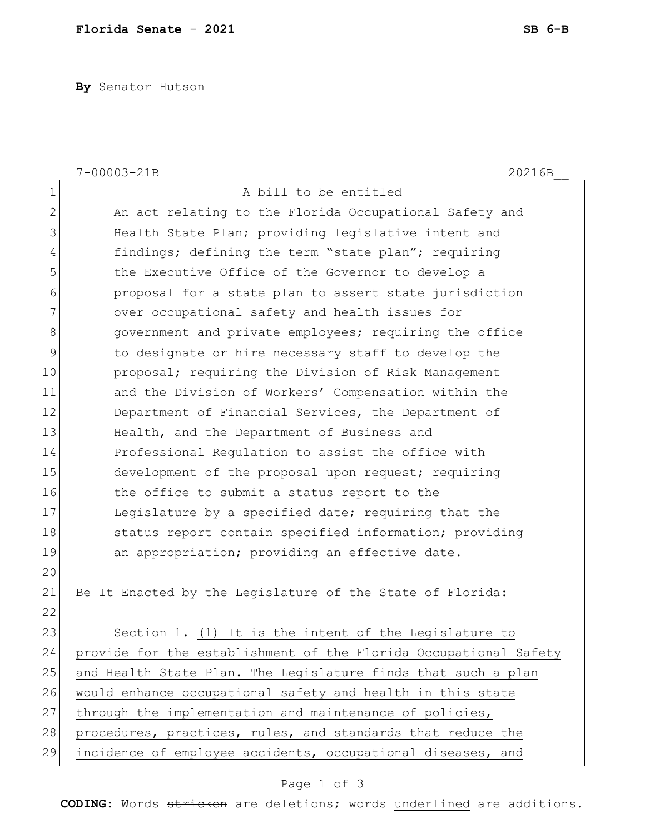**By** Senator Hutson

|              | $7 - 00003 - 21B$<br>20216B                                      |
|--------------|------------------------------------------------------------------|
| $\mathbf 1$  | A bill to be entitled                                            |
| $\mathbf{2}$ | An act relating to the Florida Occupational Safety and           |
| 3            | Health State Plan; providing legislative intent and              |
| 4            | findings; defining the term "state plan"; requiring              |
| 5            | the Executive Office of the Governor to develop a                |
| $6\,$        | proposal for a state plan to assert state jurisdiction           |
| 7            | over occupational safety and health issues for                   |
| 8            | government and private employees; requiring the office           |
| 9            | to designate or hire necessary staff to develop the              |
| 10           | proposal; requiring the Division of Risk Management              |
| 11           | and the Division of Workers' Compensation within the             |
| 12           | Department of Financial Services, the Department of              |
| 13           | Health, and the Department of Business and                       |
| 14           | Professional Regulation to assist the office with                |
| 15           | development of the proposal upon request; requiring              |
| 16           | the office to submit a status report to the                      |
| 17           | Legislature by a specified date; requiring that the              |
| 18           | status report contain specified information; providing           |
| 19           | an appropriation; providing an effective date.                   |
| 20           |                                                                  |
| 21           | Be It Enacted by the Leqislature of the State of Florida:        |
| 22           |                                                                  |
| 23           | Section 1. (1) It is the intent of the Legislature to            |
| 24           | provide for the establishment of the Florida Occupational Safety |
| 25           | and Health State Plan. The Legislature finds that such a plan    |
| 26           | would enhance occupational safety and health in this state       |
| 27           | through the implementation and maintenance of policies,          |
| 28           | procedures, practices, rules, and standards that reduce the      |
| 29           | incidence of employee accidents, occupational diseases, and      |

## Page 1 of 3

**CODING**: Words stricken are deletions; words underlined are additions.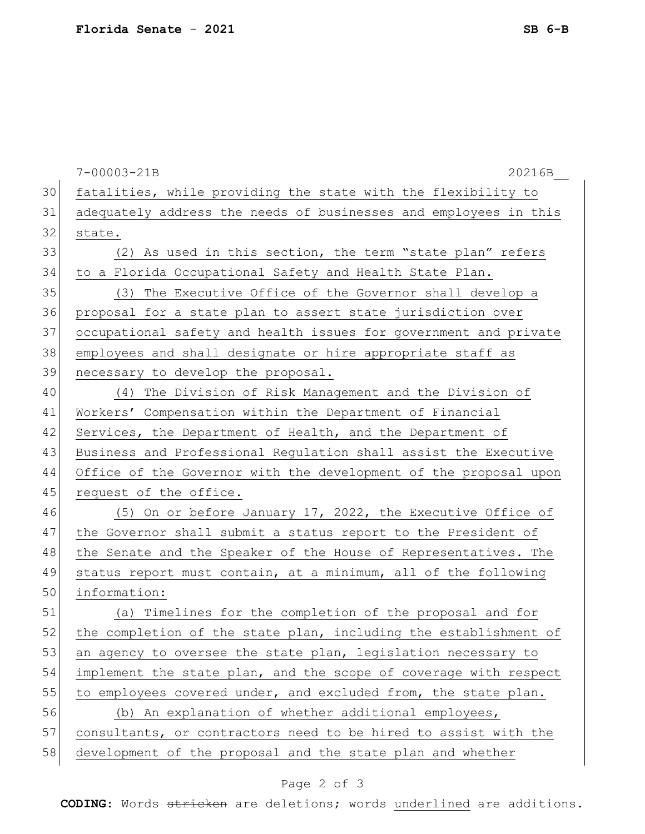|    | 7-00003-21B<br>20216B                                            |
|----|------------------------------------------------------------------|
| 30 | fatalities, while providing the state with the flexibility to    |
| 31 | adequately address the needs of businesses and employees in this |
| 32 | state.                                                           |
| 33 | (2) As used in this section, the term "state plan" refers        |
| 34 | to a Florida Occupational Safety and Health State Plan.          |
| 35 | (3) The Executive Office of the Governor shall develop a         |
| 36 | proposal for a state plan to assert state jurisdiction over      |
| 37 | occupational safety and health issues for government and private |
| 38 | employees and shall designate or hire appropriate staff as       |
| 39 | necessary to develop the proposal.                               |
| 40 | The Division of Risk Management and the Division of<br>(4)       |
| 41 | Workers' Compensation within the Department of Financial         |
| 42 | Services, the Department of Health, and the Department of        |
| 43 | Business and Professional Regulation shall assist the Executive  |
| 44 | Office of the Governor with the development of the proposal upon |
| 45 | request of the office.                                           |
| 46 | (5) On or before January 17, 2022, the Executive Office of       |
| 47 | the Governor shall submit a status report to the President of    |
| 48 | the Senate and the Speaker of the House of Representatives. The  |
| 49 | status report must contain, at a minimum, all of the following   |
| 50 | information:                                                     |
| 51 | (a) Timelines for the completion of the proposal and for         |
| 52 | the completion of the state plan, including the establishment of |
| 53 | an agency to oversee the state plan, legislation necessary to    |
| 54 | implement the state plan, and the scope of coverage with respect |
| 55 | to employees covered under, and excluded from, the state plan.   |
| 56 | (b) An explanation of whether additional employees,              |
| 57 | consultants, or contractors need to be hired to assist with the  |
| 58 | development of the proposal and the state plan and whether       |
|    |                                                                  |

## Page 2 of 3

**CODING**: Words stricken are deletions; words underlined are additions.